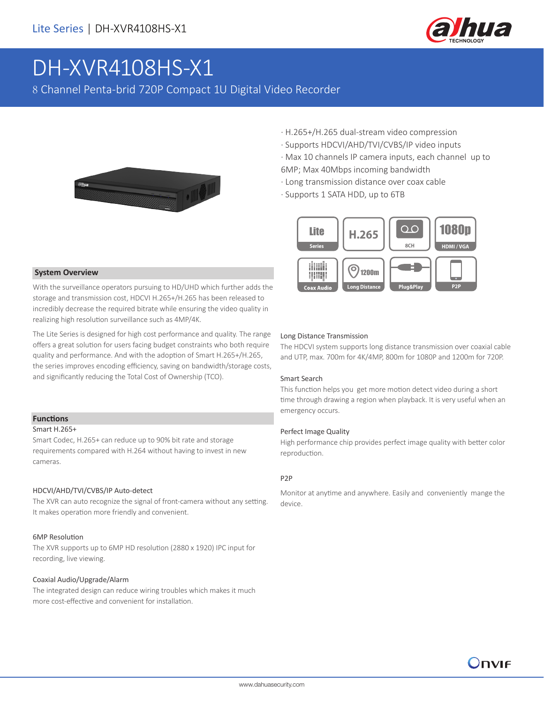

# DH-XVR4108HS-X1

8 Channel Penta-brid 720P Compact 1U Digital Video Recorder



- · H.265+/H.265 dual-stream video compression
- · Supports HDCVI/AHD/TVI/CVBS/IP video inputs

· Max 10 channels IP camera inputs, each channel up to 6MP; Max 40Mbps incoming bandwidth

- · Long transmission distance over coax cable
- · Supports 1 SATA HDD, up to 6TB



#### **System Overview**

With the surveillance operators pursuing to HD/UHD which further adds the storage and transmission cost, HDCVI H.265+/H.265 has been released to incredibly decrease the required bitrate while ensuring the video quality in realizing high resolution surveillance such as 4MP/4K.

The Lite Series is designed for high cost performance and quality. The range offers a great solution for users facing budget constraints who both require quality and performance. And with the adoption of Smart H.265+/H.265, the series improves encoding efficiency, saving on bandwidth/storage costs, and significantly reducing the Total Cost of Ownership (TCO).

#### **Functions**

#### Smart H.265+

Smart Codec, H.265+ can reduce up to 90% bit rate and storage requirements compared with H.264 without having to invest in new cameras.

#### HDCVI/AHD/TVI/CVBS/IP Auto-detect

The XVR can auto recognize the signal of front-camera without any setting. It makes operation more friendly and convenient.

#### 6MP Resolution

The XVR supports up to 6MP HD resolution (2880 x 1920) IPC input for recording, live viewing.

#### Coaxial Audio/Upgrade/Alarm

The integrated design can reduce wiring troubles which makes it much more cost-effective and convenient for installation.

#### Long Distance Transmission

The HDCVI system supports long distance transmission over coaxial cable and UTP, max. 700m for 4K/4MP, 800m for 1080P and 1200m for 720P.

#### Smart Search

This function helps you get more motion detect video during a short time through drawing a region when playback. It is very useful when an emergency occurs.

#### Perfect Image Quality

High performance chip provides perfect image quality with better color reproduction.

#### P2P

Monitor at anytime and anywhere. Easily and conveniently mange the device.

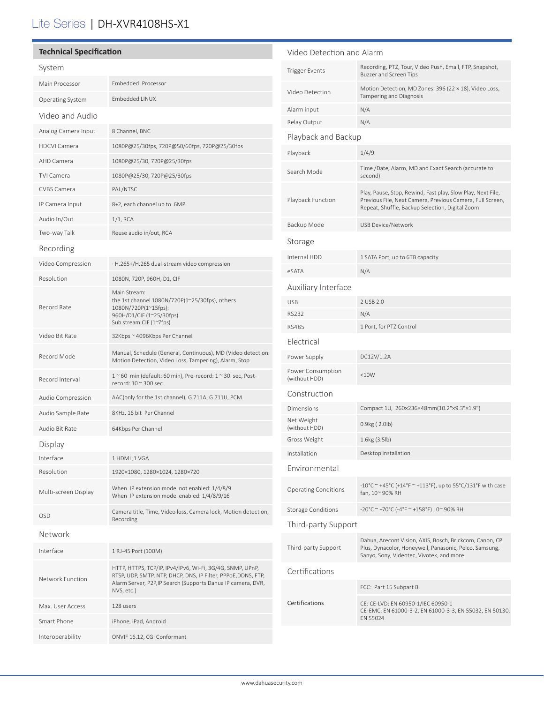## Lite Series | DH-XVR4108HS-X1

| <b>Technical Specification</b> |                                                                                                                                                                                                          | Video Detection and Alarm          |                                                                                                                                                                             |
|--------------------------------|----------------------------------------------------------------------------------------------------------------------------------------------------------------------------------------------------------|------------------------------------|-----------------------------------------------------------------------------------------------------------------------------------------------------------------------------|
| System                         |                                                                                                                                                                                                          | <b>Trigger Events</b>              | Recording, PTZ, Tour, Video Push, Email, FTP, Snapshot,<br>Buzzer and Screen Tips                                                                                           |
| Main Processor                 | Embedded Processor                                                                                                                                                                                       | Video Detection                    | Motion Detection, MD Zones: 396 (22 × 18), Video Loss,                                                                                                                      |
| Operating System               | Embedded LINUX                                                                                                                                                                                           |                                    | Tampering and Diagnosis                                                                                                                                                     |
| Video and Audio                |                                                                                                                                                                                                          | Alarm input                        | N/A                                                                                                                                                                         |
| Analog Camera Input            | 8 Channel, BNC                                                                                                                                                                                           | Relay Output                       | N/A                                                                                                                                                                         |
| <b>HDCVI Camera</b>            | 1080P@25/30fps, 720P@50/60fps, 720P@25/30fps                                                                                                                                                             | Playback and Backup                |                                                                                                                                                                             |
| AHD Camera                     | 1080P@25/30, 720P@25/30fps                                                                                                                                                                               | Playback                           | 1/4/9                                                                                                                                                                       |
| <b>TVI Camera</b>              | 1080P@25/30, 720P@25/30fps                                                                                                                                                                               | Search Mode                        | Time /Date, Alarm, MD and Exact Search (accurate to<br>second)                                                                                                              |
| <b>CVBS Camera</b>             | PAL/NTSC                                                                                                                                                                                                 |                                    | Play, Pause, Stop, Rewind, Fast play, Slow Play, Next File,<br>Previous File, Next Camera, Previous Camera, Full Screen,<br>Repeat, Shuffle, Backup Selection, Digital Zoom |
| IP Camera Input                | 8+2, each channel up to 6MP                                                                                                                                                                              | Playback Function                  |                                                                                                                                                                             |
| Audio In/Out                   | $1/1$ , RCA                                                                                                                                                                                              | Backup Mode                        | USB Device/Network                                                                                                                                                          |
| Two-way Talk                   | Reuse audio in/out, RCA                                                                                                                                                                                  |                                    |                                                                                                                                                                             |
| Recording                      |                                                                                                                                                                                                          | Storage                            |                                                                                                                                                                             |
| Video Compression              | · H.265+/H.265 dual-stream video compression                                                                                                                                                             | Internal HDD                       | 1 SATA Port, up to 6TB capacity                                                                                                                                             |
| Resolution                     | 1080N, 720P, 960H, D1, CIF                                                                                                                                                                               | eSATA                              | N/A                                                                                                                                                                         |
|                                | Main Stream:                                                                                                                                                                                             | Auxiliary Interface                |                                                                                                                                                                             |
| Record Rate                    | the 1st channel 1080N/720P(1~25/30fps), others<br>1080N/720P(1~15fps);                                                                                                                                   | <b>USB</b>                         | 2 USB 2.0                                                                                                                                                                   |
|                                | 960H/D1/CIF (1~25/30fps)                                                                                                                                                                                 | <b>RS232</b>                       | N/A                                                                                                                                                                         |
| Video Bit Rate                 | Sub stream: CIF (1~7fps)<br>32Kbps ~ 4096Kbps Per Channel                                                                                                                                                | <b>RS485</b>                       | 1 Port, for PTZ Control                                                                                                                                                     |
|                                |                                                                                                                                                                                                          | Electrical                         |                                                                                                                                                                             |
| Record Mode                    | Manual, Schedule (General, Continuous), MD (Video detection:<br>Motion Detection, Video Loss, Tampering), Alarm, Stop                                                                                    | Power Supply                       | DC12V/1.2A                                                                                                                                                                  |
| Record Interval                | $1~\degree$ 60 min (default: 60 min), Pre-record: $1~\degree$ 30 sec, Post-<br>record: 10 ~ 300 sec                                                                                                      | Power Consumption<br>(without HDD) | <10W                                                                                                                                                                        |
| Audio Compression              | AAC(only for the 1st channel), G.711A, G.711U, PCM                                                                                                                                                       | Construction                       |                                                                                                                                                                             |
| Audio Sample Rate              | 8KHz, 16 bit Per Channel                                                                                                                                                                                 | Dimensions                         | Compact 1U, 260×236×48mm(10.2"×9.3"×1.9")                                                                                                                                   |
| Audio Bit Rate                 | 64Kbps Per Channel                                                                                                                                                                                       | Net Weight<br>(without HDD)        | 0.9kg(2.0lb)                                                                                                                                                                |
| Display                        |                                                                                                                                                                                                          | Gross Weight                       | 1.6kg (3.5lb)                                                                                                                                                               |
| Interface                      | 1 HDMI, 1 VGA                                                                                                                                                                                            | Installation                       | Desktop installation                                                                                                                                                        |
| Resolution                     | 1920×1080, 1280×1024, 1280×720                                                                                                                                                                           | Environmental                      |                                                                                                                                                                             |
| Multi-screen Display           | When IP extension mode not enabled: 1/4/8/9<br>When IP extension mode enabled: 1/4/8/9/16                                                                                                                | <b>Operating Conditions</b>        | $-10^{\circ}$ C ~ +45°C (+14°F ~ +113°F), up to 55°C/131°F with case<br>fan, 10~ 90% RH                                                                                     |
|                                | Camera title, Time, Video loss, Camera lock, Motion detection,                                                                                                                                           | <b>Storage Conditions</b>          | -20°C ~ +70°C (-4°F ~ +158°F), 0~90% RH                                                                                                                                     |
| <b>OSD</b>                     | Recording                                                                                                                                                                                                | Third-party Support                |                                                                                                                                                                             |
| Network                        |                                                                                                                                                                                                          |                                    | Dahua, Arecont Vision, AXIS, Bosch, Brickcom, Canon, CP                                                                                                                     |
| Interface                      | 1 RJ-45 Port (100M)                                                                                                                                                                                      | Third-party Support                | Plus, Dynacolor, Honeywell, Panasonic, Pelco, Samsung,<br>Sanyo, Sony, Videotec, Vivotek, and more                                                                          |
| Network Function               | HTTP, HTTPS, TCP/IP, IPv4/IPv6, Wi-Fi, 3G/4G, SNMP, UPnP,<br>RTSP, UDP, SMTP, NTP, DHCP, DNS, IP Filter, PPPoE, DDNS, FTP,<br>Alarm Server, P2P, IP Search (Supports Dahua IP camera, DVR,<br>NVS, etc.) | Certifications                     |                                                                                                                                                                             |
|                                |                                                                                                                                                                                                          |                                    | FCC: Part 15 Subpart B                                                                                                                                                      |
| Max. User Access               | 128 users                                                                                                                                                                                                | Certifications                     | CE: CE-LVD: EN 60950-1/IEC 60950-1<br>CE-EMC: EN 61000-3-2, EN 61000-3-3, EN 55032, EN 50130,                                                                               |
| Smart Phone                    | iPhone, iPad, Android                                                                                                                                                                                    |                                    | EN 55024                                                                                                                                                                    |
| Interoperability               | ONVIF 16.12, CGI Conformant                                                                                                                                                                              |                                    |                                                                                                                                                                             |